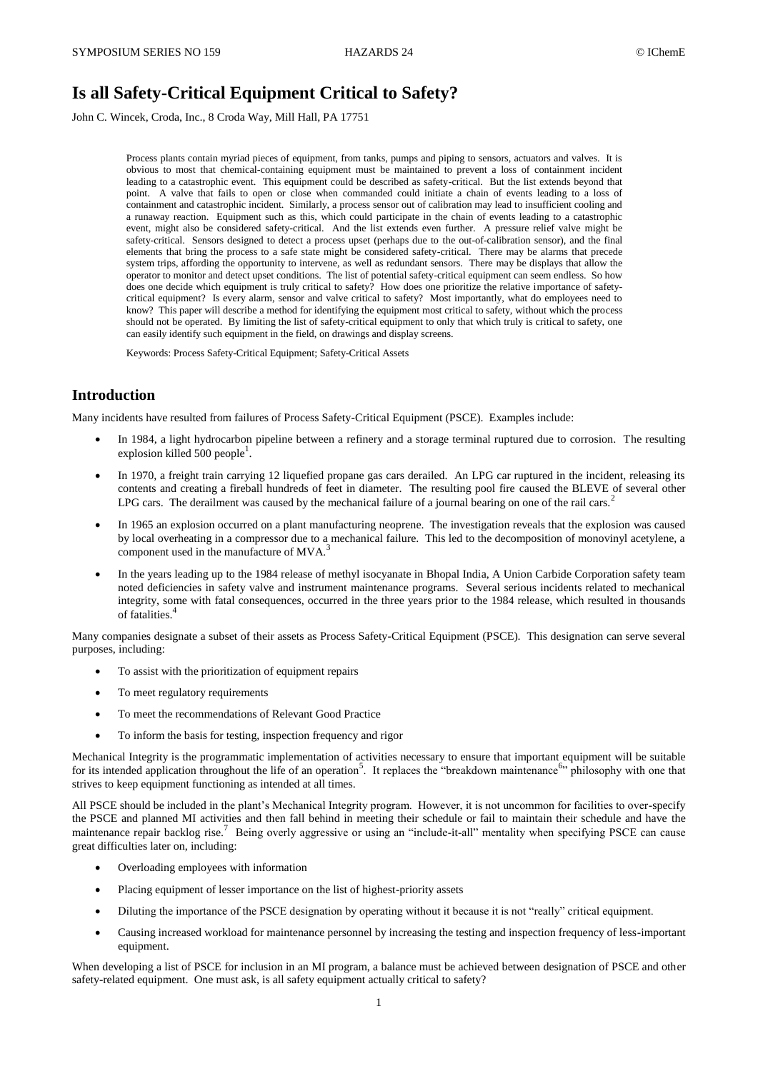# **Is all Safety-Critical Equipment Critical to Safety?**

John C. Wincek, Croda, Inc., 8 Croda Way, Mill Hall, PA 17751

Process plants contain myriad pieces of equipment, from tanks, pumps and piping to sensors, actuators and valves. It is obvious to most that chemical-containing equipment must be maintained to prevent a loss of containment incident leading to a catastrophic event. This equipment could be described as safety-critical. But the list extends beyond that point. A valve that fails to open or close when commanded could initiate a chain of events leading to a loss of containment and catastrophic incident. Similarly, a process sensor out of calibration may lead to insufficient cooling and a runaway reaction. Equipment such as this, which could participate in the chain of events leading to a catastrophic event, might also be considered safety-critical. And the list extends even further. A pressure relief valve might be safety-critical. Sensors designed to detect a process upset (perhaps due to the out-of-calibration sensor), and the final elements that bring the process to a safe state might be considered safety-critical. There may be alarms that precede system trips, affording the opportunity to intervene, as well as redundant sensors. There may be displays that allow the operator to monitor and detect upset conditions. The list of potential safety-critical equipment can seem endless. So how does one decide which equipment is truly critical to safety? How does one prioritize the relative importance of safetycritical equipment? Is every alarm, sensor and valve critical to safety? Most importantly, what do employees need to know? This paper will describe a method for identifying the equipment most critical to safety, without which the process should not be operated. By limiting the list of safety-critical equipment to only that which truly is critical to safety, one can easily identify such equipment in the field, on drawings and display screens.

Keywords: Process Safety-Critical Equipment; Safety-Critical Assets

## **Introduction**

Many incidents have resulted from failures of Process Safety-Critical Equipment (PSCE). Examples include:

- In 1984, a light hydrocarbon pipeline between a refinery and a storage terminal ruptured due to corrosion. The resulting explosion killed  $500$  people<sup>1</sup>.
- In 1970, a freight train carrying 12 liquefied propane gas cars derailed. An LPG car ruptured in the incident, releasing its contents and creating a fireball hundreds of feet in diameter. The resulting pool fire caused the BLEVE of several other LPG cars. The derailment was caused by the mechanical failure of a journal bearing on one of the rail cars.<sup>2</sup>
- In 1965 an explosion occurred on a plant manufacturing neoprene. The investigation reveals that the explosion was caused by local overheating in a compressor due to a mechanical failure. This led to the decomposition of monovinyl acetylene, a component used in the manufacture of MVA.<sup>3</sup>
- In the years leading up to the 1984 release of methyl isocyanate in Bhopal India, A Union Carbide Corporation safety team noted deficiencies in safety valve and instrument maintenance programs. Several serious incidents related to mechanical integrity, some with fatal consequences, occurred in the three years prior to the 1984 release, which resulted in thousands of fatalities.<sup>4</sup>

Many companies designate a subset of their assets as Process Safety-Critical Equipment (PSCE). This designation can serve several purposes, including:

- To assist with the prioritization of equipment repairs
- To meet regulatory requirements
- To meet the recommendations of Relevant Good Practice
- To inform the basis for testing, inspection frequency and rigor

Mechanical Integrity is the programmatic implementation of activities necessary to ensure that important equipment will be suitable for its intended application throughout the life of an operation<sup>5</sup>. It replaces the "breakdown maintenance<sup>6</sup>" philosophy with one that strives to keep equipment functioning as intended at all times.

All PSCE should be included in the plant's Mechanical Integrity program. However, it is not uncommon for facilities to over-specify the PSCE and planned MI activities and then fall behind in meeting their schedule or fail to maintain their schedule and have the maintenance repair backlog rise.<sup>7</sup> Being overly aggressive or using an "include-it-all" mentality when specifying PSCE can cause great difficulties later on, including:

- Overloading employees with information
- Placing equipment of lesser importance on the list of highest-priority assets
- Diluting the importance of the PSCE designation by operating without it because it is not "really" critical equipment.
- Causing increased workload for maintenance personnel by increasing the testing and inspection frequency of less-important equipment.

When developing a list of PSCE for inclusion in an MI program, a balance must be achieved between designation of PSCE and other safety-related equipment. One must ask, is all safety equipment actually critical to safety?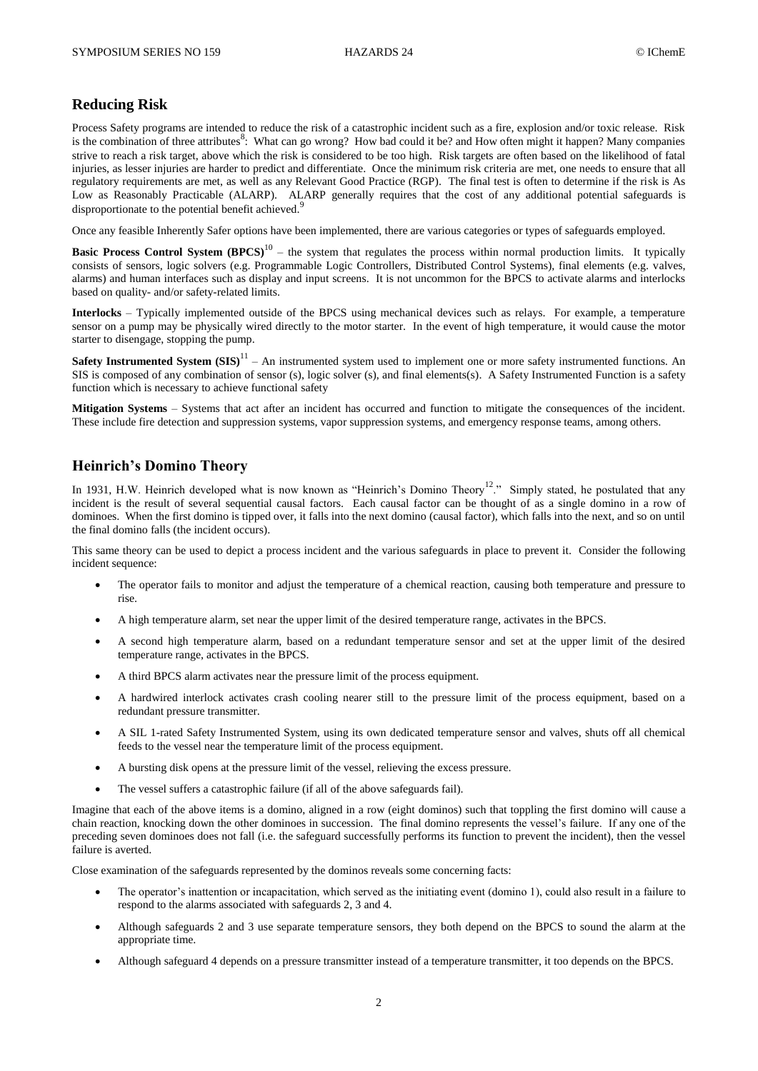## **Reducing Risk**

Process Safety programs are intended to reduce the risk of a catastrophic incident such as a fire, explosion and/or toxic release. Risk is the combination of three attributes<sup>8</sup>: What can go wrong? How bad could it be? and How often might it happen? Many companies strive to reach a risk target, above which the risk is considered to be too high. Risk targets are often based on the likelihood of fatal injuries, as lesser injuries are harder to predict and differentiate. Once the minimum risk criteria are met, one needs to ensure that all regulatory requirements are met, as well as any Relevant Good Practice (RGP). The final test is often to determine if the risk is As Low as Reasonably Practicable (ALARP). ALARP generally requires that the cost of any additional potential safeguards is disproportionate to the potential benefit achieved.<sup>9</sup>

Once any feasible Inherently Safer options have been implemented, there are various categories or types of safeguards employed.

**Basic Process Control System (BPCS)**<sup>10</sup> – the system that regulates the process within normal production limits. It typically consists of sensors, logic solvers (e.g. Programmable Logic Controllers, Distributed Control Systems), final elements (e.g. valves, alarms) and human interfaces such as display and input screens. It is not uncommon for the BPCS to activate alarms and interlocks based on quality- and/or safety-related limits.

**Interlocks** – Typically implemented outside of the BPCS using mechanical devices such as relays. For example, a temperature sensor on a pump may be physically wired directly to the motor starter. In the event of high temperature, it would cause the motor starter to disengage, stopping the pump.

**Safety Instrumented System**  $(SIS)^{11}$  **– An instrumented system used to implement one or more safety instrumented functions. An** SIS is composed of any combination of sensor (s), logic solver (s), and final elements(s). A Safety Instrumented Function is a safety function which is necessary to achieve functional safety

**Mitigation Systems** – Systems that act after an incident has occurred and function to mitigate the consequences of the incident. These include fire detection and suppression systems, vapor suppression systems, and emergency response teams, among others.

#### **Heinrich's Domino Theory**

In 1931, H.W. Heinrich developed what is now known as "Heinrich's Domino Theory<sup>12</sup>." Simply stated, he postulated that any incident is the result of several sequential causal factors. Each causal factor can be thought of as a single domino in a row of dominoes. When the first domino is tipped over, it falls into the next domino (causal factor), which falls into the next, and so on until the final domino falls (the incident occurs).

This same theory can be used to depict a process incident and the various safeguards in place to prevent it. Consider the following incident sequence:

- The operator fails to monitor and adjust the temperature of a chemical reaction, causing both temperature and pressure to rise.
- A high temperature alarm, set near the upper limit of the desired temperature range, activates in the BPCS.
- A second high temperature alarm, based on a redundant temperature sensor and set at the upper limit of the desired temperature range, activates in the BPCS.
- A third BPCS alarm activates near the pressure limit of the process equipment.
- A hardwired interlock activates crash cooling nearer still to the pressure limit of the process equipment, based on a redundant pressure transmitter.
- A SIL 1-rated Safety Instrumented System, using its own dedicated temperature sensor and valves, shuts off all chemical feeds to the vessel near the temperature limit of the process equipment.
- A bursting disk opens at the pressure limit of the vessel, relieving the excess pressure.
- The vessel suffers a catastrophic failure (if all of the above safeguards fail).

Imagine that each of the above items is a domino, aligned in a row (eight dominos) such that toppling the first domino will cause a chain reaction, knocking down the other dominoes in succession. The final domino represents the vessel's failure. If any one of the preceding seven dominoes does not fall (i.e. the safeguard successfully performs its function to prevent the incident), then the vessel failure is averted.

Close examination of the safeguards represented by the dominos reveals some concerning facts:

- The operator's inattention or incapacitation, which served as the initiating event (domino 1), could also result in a failure to respond to the alarms associated with safeguards 2, 3 and 4.
- Although safeguards 2 and 3 use separate temperature sensors, they both depend on the BPCS to sound the alarm at the appropriate time.
- Although safeguard 4 depends on a pressure transmitter instead of a temperature transmitter, it too depends on the BPCS.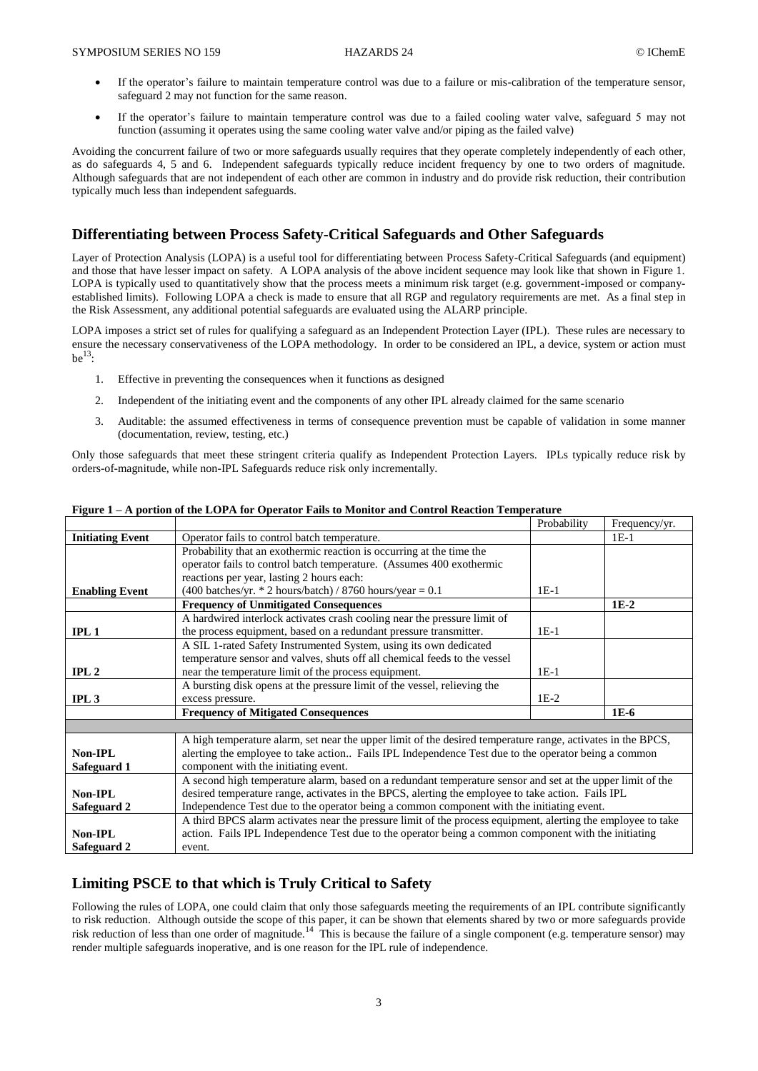- If the operator's failure to maintain temperature control was due to a failure or mis-calibration of the temperature sensor, safeguard 2 may not function for the same reason.
- If the operator's failure to maintain temperature control was due to a failed cooling water valve, safeguard 5 may not function (assuming it operates using the same cooling water valve and/or piping as the failed valve)

Avoiding the concurrent failure of two or more safeguards usually requires that they operate completely independently of each other, as do safeguards 4, 5 and 6. Independent safeguards typically reduce incident frequency by one to two orders of magnitude. Although safeguards that are not independent of each other are common in industry and do provide risk reduction, their contribution typically much less than independent safeguards.

## **Differentiating between Process Safety-Critical Safeguards and Other Safeguards**

Layer of Protection Analysis (LOPA) is a useful tool for differentiating between Process Safety-Critical Safeguards (and equipment) and those that have lesser impact on safety. A LOPA analysis of the above incident sequence may look like that shown in Figure 1. LOPA is typically used to quantitatively show that the process meets a minimum risk target (e.g. government-imposed or companyestablished limits). Following LOPA a check is made to ensure that all RGP and regulatory requirements are met. As a final step in the Risk Assessment, any additional potential safeguards are evaluated using the ALARP principle.

LOPA imposes a strict set of rules for qualifying a safeguard as an Independent Protection Layer (IPL). These rules are necessary to ensure the necessary conservativeness of the LOPA methodology. In order to be considered an IPL, a device, system or action must  $be^{13}$ :

- 1. Effective in preventing the consequences when it functions as designed
- 2. Independent of the initiating event and the components of any other IPL already claimed for the same scenario
- 3. Auditable: the assumed effectiveness in terms of consequence prevention must be capable of validation in some manner (documentation, review, testing, etc.)

Only those safeguards that meet these stringent criteria qualify as Independent Protection Layers. IPLs typically reduce risk by orders-of-magnitude, while non-IPL Safeguards reduce risk only incrementally.

|                         |                                                                                                              | Probability | Frequency/yr. |
|-------------------------|--------------------------------------------------------------------------------------------------------------|-------------|---------------|
| <b>Initiating Event</b> | Operator fails to control batch temperature.                                                                 |             | $1E-1$        |
|                         | Probability that an exothermic reaction is occurring at the time the                                         |             |               |
|                         | operator fails to control batch temperature. (Assumes 400 exothermic                                         |             |               |
|                         | reactions per year, lasting 2 hours each:                                                                    |             |               |
| <b>Enabling Event</b>   | $(400 \text{ batches/yr.} * 2 \text{ hours/batch}) / 8760 \text{ hours/year} = 0.1$                          | $1E-1$      |               |
|                         | <b>Frequency of Unmitigated Consequences</b>                                                                 |             | $1E-2$        |
|                         | A hardwired interlock activates crash cooling near the pressure limit of                                     |             |               |
| IPL1                    | the process equipment, based on a redundant pressure transmitter.                                            | $1E-1$      |               |
|                         | A SIL 1-rated Safety Instrumented System, using its own dedicated                                            |             |               |
|                         | temperature sensor and valves, shuts off all chemical feeds to the vessel                                    |             |               |
| IPL <sub>2</sub>        | near the temperature limit of the process equipment.                                                         | $1E-1$      |               |
|                         | A bursting disk opens at the pressure limit of the vessel, relieving the                                     |             |               |
| IPL3                    | excess pressure.                                                                                             | $1E-2$      |               |
|                         | <b>Frequency of Mitigated Consequences</b>                                                                   |             | $1E-6$        |
|                         |                                                                                                              |             |               |
|                         | A high temperature alarm, set near the upper limit of the desired temperature range, activates in the BPCS,  |             |               |
| Non-IPL                 | alerting the employee to take action Fails IPL Independence Test due to the operator being a common          |             |               |
| Safeguard 1             | component with the initiating event.                                                                         |             |               |
|                         | A second high temperature alarm, based on a redundant temperature sensor and set at the upper limit of the   |             |               |
| Non-IPL                 | desired temperature range, activates in the BPCS, alerting the employee to take action. Fails IPL            |             |               |
| Safeguard 2             | Independence Test due to the operator being a common component with the initiating event.                    |             |               |
|                         | A third BPCS alarm activates near the pressure limit of the process equipment, alerting the employee to take |             |               |
| Non-IPL                 | action. Fails IPL Independence Test due to the operator being a common component with the initiating         |             |               |
| Safeguard 2             | event.                                                                                                       |             |               |

#### **Figure 1 – A portion of the LOPA for Operator Fails to Monitor and Control Reaction Temperature**

### **Limiting PSCE to that which is Truly Critical to Safety**

Following the rules of LOPA, one could claim that only those safeguards meeting the requirements of an IPL contribute significantly to risk reduction. Although outside the scope of this paper, it can be shown that elements shared by two or more safeguards provide risk reduction of less than one order of magnitude.<sup>14</sup> This is because the failure of a single component (e.g. temperature sensor) may render multiple safeguards inoperative, and is one reason for the IPL rule of independence.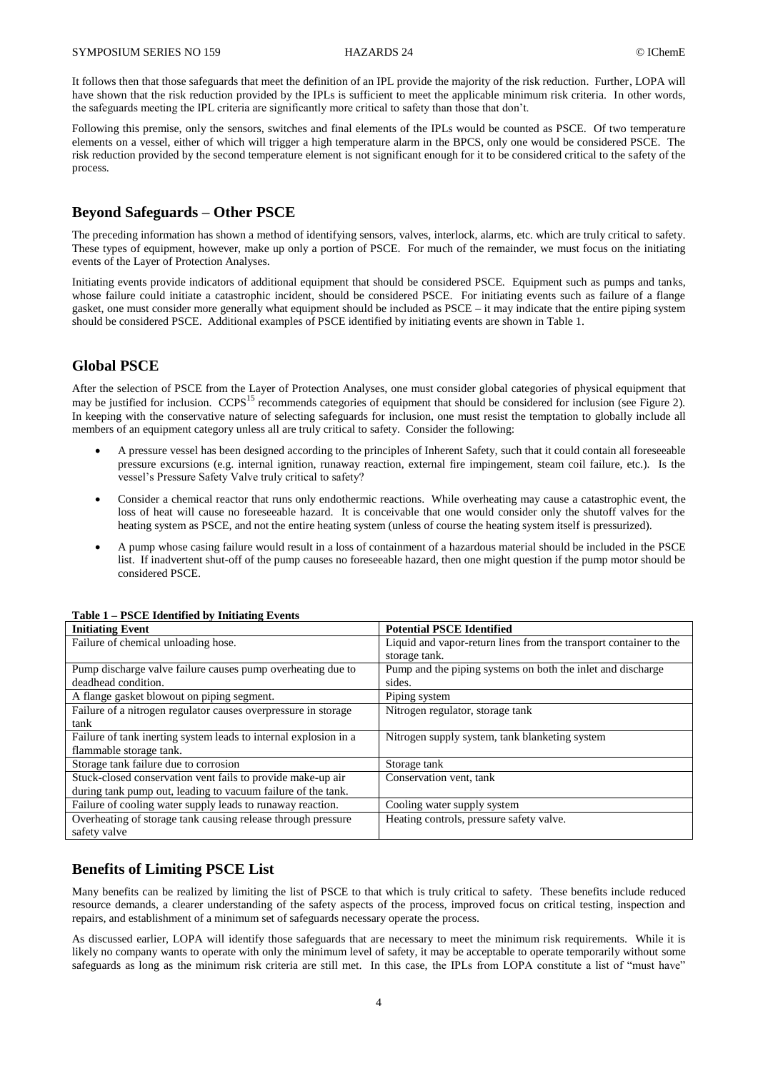It follows then that those safeguards that meet the definition of an IPL provide the majority of the risk reduction. Further, LOPA will have shown that the risk reduction provided by the IPLs is sufficient to meet the applicable minimum risk criteria. In other words, the safeguards meeting the IPL criteria are significantly more critical to safety than those that don't.

Following this premise, only the sensors, switches and final elements of the IPLs would be counted as PSCE. Of two temperature elements on a vessel, either of which will trigger a high temperature alarm in the BPCS, only one would be considered PSCE. The risk reduction provided by the second temperature element is not significant enough for it to be considered critical to the safety of the process.

## **Beyond Safeguards – Other PSCE**

The preceding information has shown a method of identifying sensors, valves, interlock, alarms, etc. which are truly critical to safety. These types of equipment, however, make up only a portion of PSCE. For much of the remainder, we must focus on the initiating events of the Layer of Protection Analyses.

Initiating events provide indicators of additional equipment that should be considered PSCE. Equipment such as pumps and tanks, whose failure could initiate a catastrophic incident, should be considered PSCE. For initiating events such as failure of a flange gasket, one must consider more generally what equipment should be included as PSCE – it may indicate that the entire piping system should be considered PSCE. Additional examples of PSCE identified by initiating events are shown in Table 1.

## **Global PSCE**

After the selection of PSCE from the Layer of Protection Analyses, one must consider global categories of physical equipment that may be justified for inclusion. CCPS<sup>15</sup> recommends categories of equipment that should be considered for inclusion (see Figure 2). In keeping with the conservative nature of selecting safeguards for inclusion, one must resist the temptation to globally include all members of an equipment category unless all are truly critical to safety. Consider the following:

- A pressure vessel has been designed according to the principles of Inherent Safety, such that it could contain all foreseeable pressure excursions (e.g. internal ignition, runaway reaction, external fire impingement, steam coil failure, etc.). Is the vessel's Pressure Safety Valve truly critical to safety?
- Consider a chemical reactor that runs only endothermic reactions. While overheating may cause a catastrophic event, the loss of heat will cause no foreseeable hazard. It is conceivable that one would consider only the shutoff valves for the heating system as PSCE, and not the entire heating system (unless of course the heating system itself is pressurized).
- A pump whose casing failure would result in a loss of containment of a hazardous material should be included in the PSCE list. If inadvertent shut-off of the pump causes no foreseeable hazard, then one might question if the pump motor should be considered PSCE.

| <b>Initiating Event</b>                                          | <b>Potential PSCE Identified</b>                                  |  |
|------------------------------------------------------------------|-------------------------------------------------------------------|--|
| Failure of chemical unloading hose.                              | Liquid and vapor-return lines from the transport container to the |  |
|                                                                  | storage tank.                                                     |  |
| Pump discharge valve failure causes pump overheating due to      | Pump and the piping systems on both the inlet and discharge       |  |
| deadhead condition.                                              | sides.                                                            |  |
| A flange gasket blowout on piping segment.                       | Piping system                                                     |  |
| Failure of a nitrogen regulator causes overpressure in storage   | Nitrogen regulator, storage tank                                  |  |
| tank                                                             |                                                                   |  |
| Failure of tank inerting system leads to internal explosion in a | Nitrogen supply system, tank blanketing system                    |  |
| flammable storage tank.                                          |                                                                   |  |
| Storage tank failure due to corrosion                            | Storage tank                                                      |  |
| Stuck-closed conservation vent fails to provide make-up air      | Conservation vent, tank                                           |  |
| during tank pump out, leading to vacuum failure of the tank.     |                                                                   |  |
| Failure of cooling water supply leads to runaway reaction.       | Cooling water supply system                                       |  |
| Overheating of storage tank causing release through pressure     | Heating controls, pressure safety valve.                          |  |
| safety valve                                                     |                                                                   |  |

#### **Table 1 – PSCE Identified by Initiating Events**

## **Benefits of Limiting PSCE List**

Many benefits can be realized by limiting the list of PSCE to that which is truly critical to safety. These benefits include reduced resource demands, a clearer understanding of the safety aspects of the process, improved focus on critical testing, inspection and repairs, and establishment of a minimum set of safeguards necessary operate the process.

As discussed earlier, LOPA will identify those safeguards that are necessary to meet the minimum risk requirements. While it is likely no company wants to operate with only the minimum level of safety, it may be acceptable to operate temporarily without some safeguards as long as the minimum risk criteria are still met. In this case, the IPLs from LOPA constitute a list of "must have"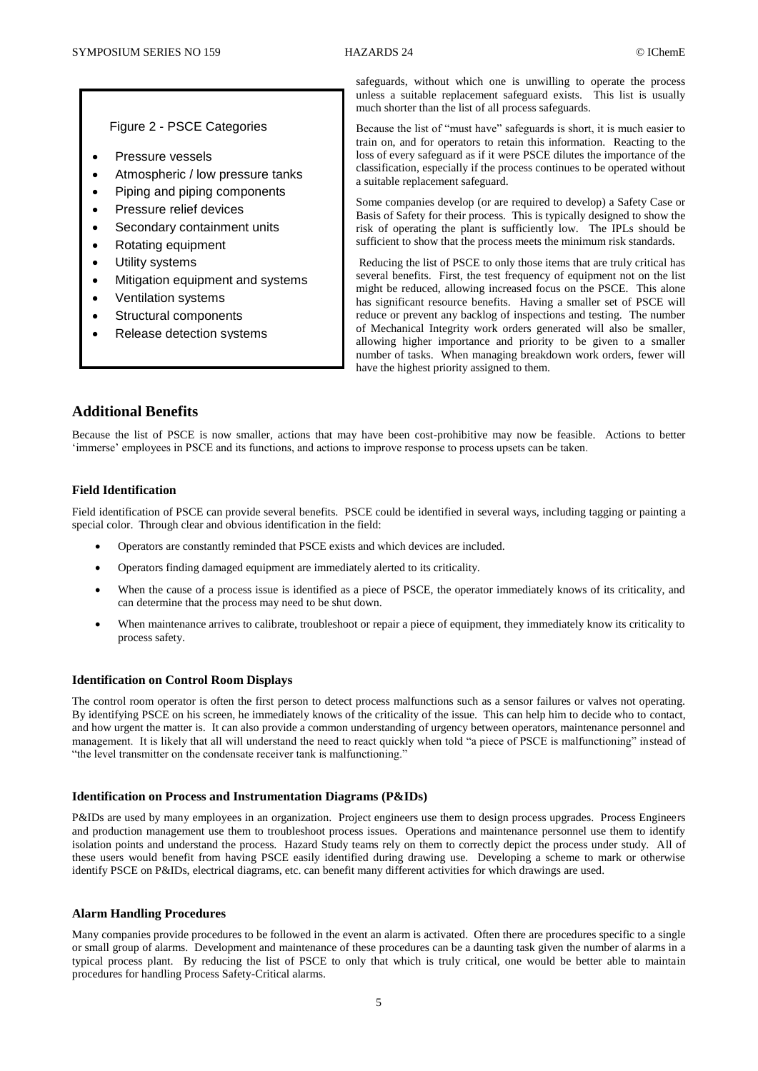#### Figure 2 - PSCE Categories

- Pressure vessels
- Atmospheric / low pressure tanks
- Piping and piping components
- Pressure relief devices
- Secondary containment units
- Rotating equipment
- Utility systems
- Mitigation equipment and systems
- Ventilation systems
- Structural components
- Release detection systems

safeguards, without which one is unwilling to operate the process unless a suitable replacement safeguard exists. This list is usually much shorter than the list of all process safeguards.

Because the list of "must have" safeguards is short, it is much easier to train on, and for operators to retain this information. Reacting to the loss of every safeguard as if it were PSCE dilutes the importance of the classification, especially if the process continues to be operated without a suitable replacement safeguard.

Some companies develop (or are required to develop) a Safety Case or Basis of Safety for their process. This is typically designed to show the risk of operating the plant is sufficiently low. The IPLs should be sufficient to show that the process meets the minimum risk standards.

Reducing the list of PSCE to only those items that are truly critical has several benefits. First, the test frequency of equipment not on the list might be reduced, allowing increased focus on the PSCE. This alone has significant resource benefits. Having a smaller set of PSCE will reduce or prevent any backlog of inspections and testing. The number of Mechanical Integrity work orders generated will also be smaller, allowing higher importance and priority to be given to a smaller number of tasks. When managing breakdown work orders, fewer will have the highest priority assigned to them.

## **Additional Benefits**

Because the list of PSCE is now smaller, actions that may have been cost-prohibitive may now be feasible. Actions to better 'immerse' employees in PSCE and its functions, and actions to improve response to process upsets can be taken.

#### **Field Identification**

Field identification of PSCE can provide several benefits. PSCE could be identified in several ways, including tagging or painting a special color. Through clear and obvious identification in the field:

- Operators are constantly reminded that PSCE exists and which devices are included.
- Operators finding damaged equipment are immediately alerted to its criticality.
- When the cause of a process issue is identified as a piece of PSCE, the operator immediately knows of its criticality, and can determine that the process may need to be shut down.
- When maintenance arrives to calibrate, troubleshoot or repair a piece of equipment, they immediately know its criticality to process safety.

#### **Identification on Control Room Displays**

The control room operator is often the first person to detect process malfunctions such as a sensor failures or valves not operating. By identifying PSCE on his screen, he immediately knows of the criticality of the issue. This can help him to decide who to contact, and how urgent the matter is. It can also provide a common understanding of urgency between operators, maintenance personnel and management. It is likely that all will understand the need to react quickly when told "a piece of PSCE is malfunctioning" instead of "the level transmitter on the condensate receiver tank is malfunctioning."

#### **Identification on Process and Instrumentation Diagrams (P&IDs)**

P&IDs are used by many employees in an organization. Project engineers use them to design process upgrades. Process Engineers and production management use them to troubleshoot process issues. Operations and maintenance personnel use them to identify isolation points and understand the process. Hazard Study teams rely on them to correctly depict the process under study. All of these users would benefit from having PSCE easily identified during drawing use. Developing a scheme to mark or otherwise identify PSCE on P&IDs, electrical diagrams, etc. can benefit many different activities for which drawings are used.

#### **Alarm Handling Procedures**

Many companies provide procedures to be followed in the event an alarm is activated. Often there are procedures specific to a single or small group of alarms. Development and maintenance of these procedures can be a daunting task given the number of alarms in a typical process plant. By reducing the list of PSCE to only that which is truly critical, one would be better able to maintain procedures for handling Process Safety-Critical alarms.